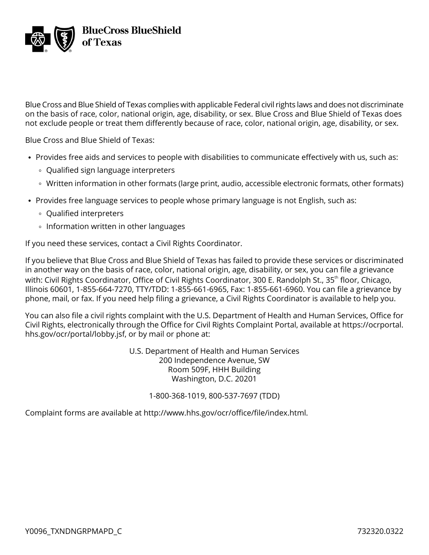

Blue Cross and Blue Shield of Texas complies with applicable Federal civil rights laws and does not discriminate on the basis of race, color, national origin, age, disability, or sex. Blue Cross and Blue Shield of Texas does not exclude people or treat them differently because of race, color, national origin, age, disability, or sex.

Blue Cross and Blue Shield of Texas:

- Provides free aids and services to people with disabilities to communicate effectively with us, such as:
	- Qualified sign language interpreters
	- Written information in other formats (large print, audio, accessible electronic formats, other formats)
- Provides free language services to people whose primary language is not English, such as:
	- Qualified interpreters
	- Information written in other languages

If you need these services, contact a Civil Rights Coordinator.

If you believe that Blue Cross and Blue Shield of Texas has failed to provide these services or discriminated in another way on the basis of race, color, national origin, age, disability, or sex, you can file a grievance with: Civil Rights Coordinator, Office of Civil Rights Coordinator, 300 E. Randolph St., 35<sup>th</sup> floor, Chicago, Illinois 60601, 1-855-664-7270, TTY/TDD: 1-855-661-6965, Fax: 1-855-661-6960. You can file a grievance by phone, mail, or fax. If you need help filing a grievance, a Civil Rights Coordinator is available to help you.

You can also file a civil rights complaint with the U.S. Department of Health and Human Services, Office for Civil Rights, electronically through the Office for Civil Rights Complaint Portal, available at [https://ocrportal.](https://ocrportal.hhs.gov/ocr/portal/lobby.jsf) [hhs.gov/ocr/portal/lobby.jsf](https://ocrportal.hhs.gov/ocr/portal/lobby.jsf), or by mail or phone at:

> U.S. Department of Health and Human Services 200 Independence Avenue, SW Room 509F, HHH Building Washington, D.C. 20201

> > 1-800-368-1019, 800-537-7697 (TDD)

Complaint forms are available at [http://www.hhs.gov/ocr/office/file/index.html.](http://www.hhs.gov/ocr/office/file/index.html)